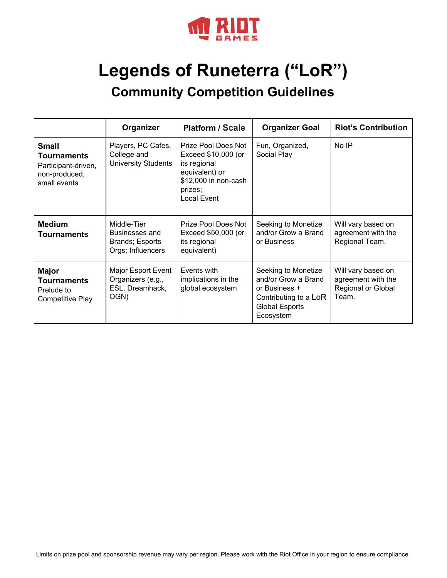

# **Legends of Runeterra ("LoR") Community Competition Guidelines**

|                                                                                            | Organizer                                                             | <b>Platform / Scale</b>                                                                                                        | <b>Organizer Goal</b>                                                                                                      | <b>Riot's Contribution</b>                                                     |
|--------------------------------------------------------------------------------------------|-----------------------------------------------------------------------|--------------------------------------------------------------------------------------------------------------------------------|----------------------------------------------------------------------------------------------------------------------------|--------------------------------------------------------------------------------|
| <b>Small</b><br><b>Tournaments</b><br>Participant-driven,<br>non-produced,<br>small events | Players, PC Cafes,<br>College and<br><b>University Students</b>       | Prize Pool Does Not<br>Exceed \$10,000 (or<br>its regional<br>equivalent) or<br>\$12,000 in non-cash<br>prizes;<br>Local Event | Fun, Organized,<br>Social Play                                                                                             | No IP                                                                          |
| <b>Medium</b><br><b>Tournaments</b>                                                        | Middle-Tier<br>Businesses and<br>Brands; Esports<br>Orgs; Influencers | Prize Pool Does Not<br>Exceed \$50,000 (or<br>its regional<br>equivalent)                                                      | Seeking to Monetize<br>and/or Grow a Brand<br>or Business                                                                  | Will vary based on<br>agreement with the<br>Regional Team.                     |
| <b>Major</b><br><b>Tournaments</b><br>Prelude to<br>Competitive Play                       | Major Esport Event<br>Organizers (e.g.,<br>ESL, Dreamhack,<br>OGN)    | Events with<br>implications in the<br>global ecosystem                                                                         | Seeking to Monetize<br>and/or Grow a Brand<br>or Business +<br>Contributing to a LoR<br><b>Global Esports</b><br>Ecosystem | Will vary based on<br>agreement with the<br><b>Regional or Global</b><br>Team. |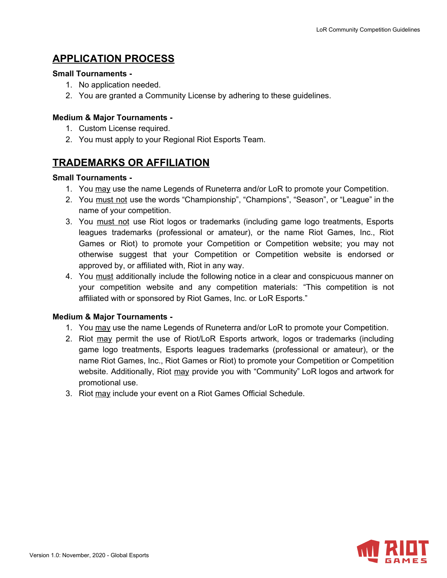# **APPLICATION PROCESS**

#### **Small Tournaments -**

- 1. No application needed.
- 2. You are granted a Community License by adhering to these guidelines.

### **Medium & Major Tournaments -**

- 1. Custom License required.
- 2. You must apply to your Regional Riot Esports Team.

## **TRADEMARKS OR AFFILIATION**

#### **Small Tournaments -**

- 1. You may use the name Legends of Runeterra and/or LoR to promote your Competition.
- 2. You must not use the words "Championship", "Champions", "Season", or "League" in the name of your competition.
- 3. You must not use Riot logos or trademarks (including game logo treatments, Esports leagues trademarks (professional or amateur), or the name Riot Games, Inc., Riot Games or Riot) to promote your Competition or Competition website; you may not otherwise suggest that your Competition or Competition website is endorsed or approved by, or affiliated with, Riot in any way.
- 4. You must additionally include the following notice in a clear and conspicuous manner on your competition website and any competition materials: "This competition is not affiliated with or sponsored by Riot Games, Inc. or LoR Esports."

### **Medium & Major Tournaments -**

- 1. You may use the name Legends of Runeterra and/or LoR to promote your Competition.
- 2. Riot may permit the use of Riot/LoR Esports artwork, logos or trademarks (including game logo treatments, Esports leagues trademarks (professional or amateur), or the name Riot Games, Inc., Riot Games or Riot) to promote your Competition or Competition website. Additionally, Riot may provide you with "Community" LoR logos and artwork for promotional use.
- 3. Riot may include your event on a Riot Games Official Schedule.

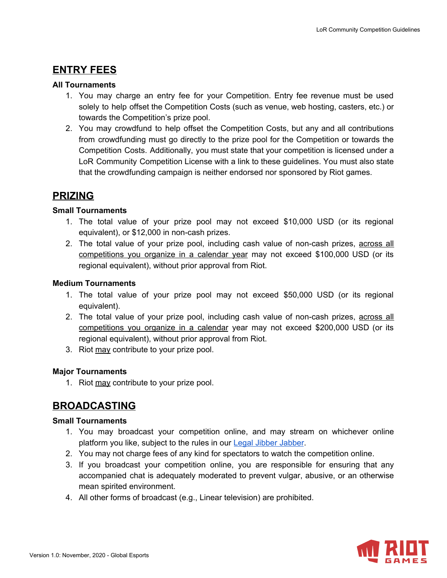## **ENTRY FEES**

#### **All Tournaments**

- 1. You may charge an entry fee for your Competition. Entry fee revenue must be used solely to help offset the Competition Costs (such as venue, web hosting, casters, etc.) or towards the Competition's prize pool.
- 2. You may crowdfund to help offset the Competition Costs, but any and all contributions from crowdfunding must go directly to the prize pool for the Competition or towards the Competition Costs. Additionally, you must state that your competition is licensed under a LoR Community Competition License with a link to these guidelines. You must also state that the crowdfunding campaign is neither endorsed nor sponsored by Riot games.

### **PRIZING**

#### **Small Tournaments**

- 1. The total value of your prize pool may not exceed \$10,000 USD (or its regional equivalent), or \$12,000 in non-cash prizes.
- 2. The total value of your prize pool, including cash value of non-cash prizes, across all competitions you organize in a calendar year may not exceed \$100,000 USD (or its regional equivalent), without prior approval from Riot.

#### **Medium Tournaments**

- 1. The total value of your prize pool may not exceed \$50,000 USD (or its regional equivalent).
- 2. The total value of your prize pool, including cash value of non-cash prizes, across all competitions you organize in a calendar year may not exceed \$200,000 USD (or its regional equivalent), without prior approval from Riot.
- 3. Riot may contribute to your prize pool.

### **Major Tournaments**

1. Riot may contribute to your prize pool.

# **BROADCASTING**

#### **Small Tournaments**

- 1. You may broadcast your competition online, and may stream on whichever online platform you like, subject to the rules in our Legal Jibber [Jabber](https://www.riotgames.com/en/legal).
- 2. You may not charge fees of any kind for spectators to watch the competition online.
- 3. If you broadcast your competition online, you are responsible for ensuring that any accompanied chat is adequately moderated to prevent vulgar, abusive, or an otherwise mean spirited environment.
- 4. All other forms of broadcast (e.g., Linear television) are prohibited.

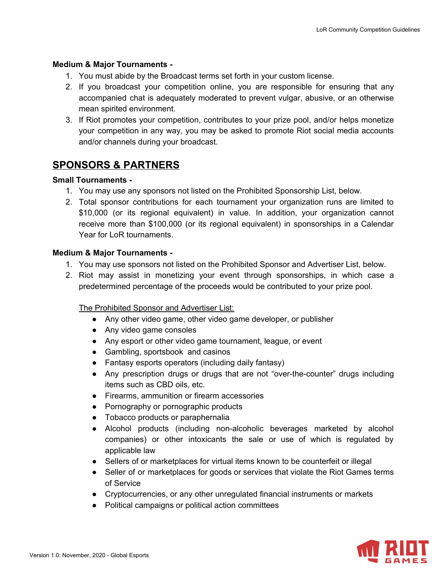#### **Medium & Major Tournaments -**

- 1. You must abide by the Broadcast terms set forth in your custom license.
- 2. If you broadcast your competition online, you are responsible for ensuring that any accompanied chat is adequately moderated to prevent vulgar, abusive, or an otherwise mean spirited environment.
- 3. If Riot promotes your competition, contributes to your prize pool, and/or helps monetize your competition in any way, you may be asked to promote Riot social media accounts and/or channels during your broadcast.

# **SPONSORS & PARTNERS**

#### **Small Tournaments -**

- 1. You may use any sponsors not listed on the Prohibited Sponsorship List, below.
- 2. Total sponsor contributions for each tournament your organization runs are limited to \$10,000 (or its regional equivalent) in value. In addition, your organization cannot receive more than \$100,000 (or its regional equivalent) in sponsorships in a Calendar Year for LoR tournaments.

#### **Medium & Major Tournaments -**

- 1. You may use sponsors not listed on the Prohibited Sponsor and Advertiser List, below.
- 2. Riot may assist in monetizing your event through sponsorships, in which case a predetermined percentage of the proceeds would be contributed to your prize pool.

The Prohibited Sponsor and Advertiser List:

- Any other video game, other video game developer, or publisher
- Any video game consoles
- Any esport or other video game tournament, league, or event
- Gambling, sportsbook and casinos
- Fantasy esports operators (including daily fantasy)
- Any prescription drugs or drugs that are not "over-the-counter" drugs including items such as CBD oils, etc.
- Firearms, ammunition or firearm accessories
- Pornography or pornographic products
- Tobacco products or paraphernalia
- Alcohol products (including non-alcoholic beverages marketed by alcohol companies) or other intoxicants the sale or use of which is regulated by applicable law
- Sellers of or marketplaces for virtual items known to be counterfeit or illegal
- Seller of or marketplaces for goods or services that violate the Riot Games terms of Service
- Cryptocurrencies, or any other unregulated financial instruments or markets
- Political campaigns or political action committees

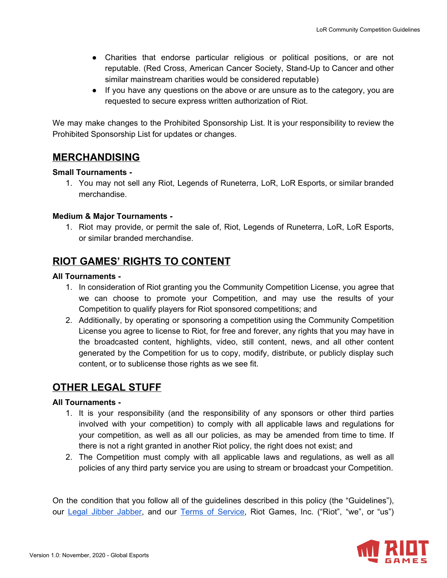- Charities that endorse particular religious or political positions, or are not reputable. (Red Cross, American Cancer Society, Stand-Up to Cancer and other similar mainstream charities would be considered reputable)
- If you have any questions on the above or are unsure as to the category, you are requested to secure express written authorization of Riot.

We may make changes to the Prohibited Sponsorship List. It is your responsibility to review the Prohibited Sponsorship List for updates or changes.

## **MERCHANDISING**

#### **Small Tournaments -**

1. You may not sell any Riot, Legends of Runeterra, LoR, LoR Esports, or similar branded merchandise.

### **Medium & Major Tournaments -**

1. Riot may provide, or permit the sale of, Riot, Legends of Runeterra, LoR, LoR Esports, or similar branded merchandise.

# **RIOT GAMES' RIGHTS TO CONTENT**

#### **All Tournaments -**

- 1. In consideration of Riot granting you the Community Competition License, you agree that we can choose to promote your Competition, and may use the results of your Competition to qualify players for Riot sponsored competitions; and
- 2. Additionally, by operating or sponsoring a competition using the Community Competition License you agree to license to Riot, for free and forever, any rights that you may have in the broadcasted content, highlights, video, still content, news, and all other content generated by the Competition for us to copy, modify, distribute, or publicly display such content, or to sublicense those rights as we see fit.

### **OTHER LEGAL STUFF**

### **All Tournaments -**

- 1. It is your responsibility (and the responsibility of any sponsors or other third parties involved with your competition) to comply with all applicable laws and regulations for your competition, as well as all our policies, as may be amended from time to time. If there is not a right granted in another Riot policy, the right does not exist; and
- 2. The Competition must comply with all applicable laws and regulations, as well as all policies of any third party service you are using to stream or broadcast your Competition.

On the condition that you follow all of the guidelines described in this policy (the "Guidelines"), our Legal Jibber [Jabber](https://www.riotgames.com/en/legal), and our Terms of [Service,](https://na.leagueoflegends.com/en/legal/termsofuse) Riot Games, Inc. ("Riot", "we", or "us")